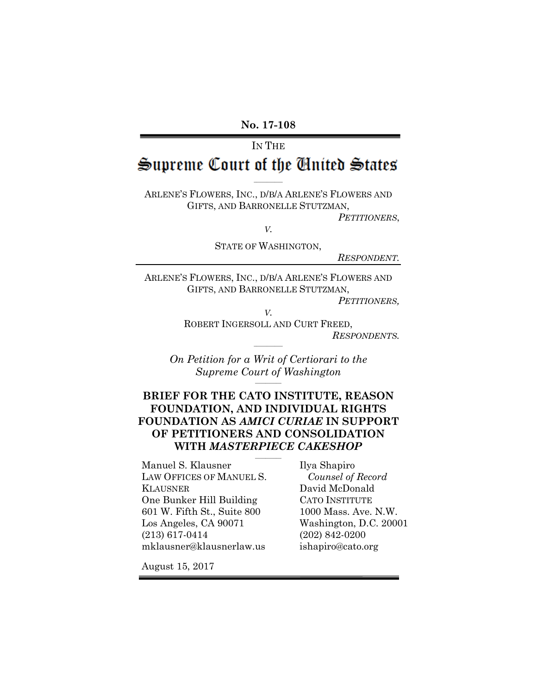#### **No. 17-108**

# IN THE Supreme Court of the Cinited States

ARLENE'S FLOWERS, INC., D/B/A ARLENE'S FLOWERS AND GIFTS, AND BARRONELLE STUTZMAN,

 $\mathcal{L}=\mathcal{L}$ 

*PETITIONERS*,

*V.*

STATE OF WASHINGTON,

*RESPONDENT.*

ARLENE'S FLOWERS, INC., D/B/A ARLENE'S FLOWERS AND GIFTS, AND BARRONELLE STUTZMAN,

*V.*

*PETITIONERS,*

ROBERT INGERSOLL AND CURT FREED, *RESPONDENTS.*

*On Petition for a Writ of Certiorari to the Supreme Court of Washington*  $\frac{1}{2}$ 

 $\mathcal{L}=\mathcal{L}$ 

### **BRIEF FOR THE CATO INSTITUTE, REASON FOUNDATION, AND INDIVIDUAL RIGHTS FOUNDATION AS** *AMICI CURIAE* **IN SUPPORT OF PETITIONERS AND CONSOLIDATION WITH** *MASTERPIECE CAKESHOP*

 $\frac{1}{2}$ 

Manuel S. Klausner LAW OFFICES OF MANUEL S. KLAUSNER One Bunker Hill Building 601 W. Fifth St., Suite 800 Los Angeles, CA 90071 (213) 617-0414 mklausner@klausnerlaw.us

Ilya Shapiro *Counsel of Record* David McDonald CATO INSTITUTE 1000 Mass. Ave. N.W. Washington, D.C. 20001 (202) 842-0200 ishapiro@cato.org

August 15, 2017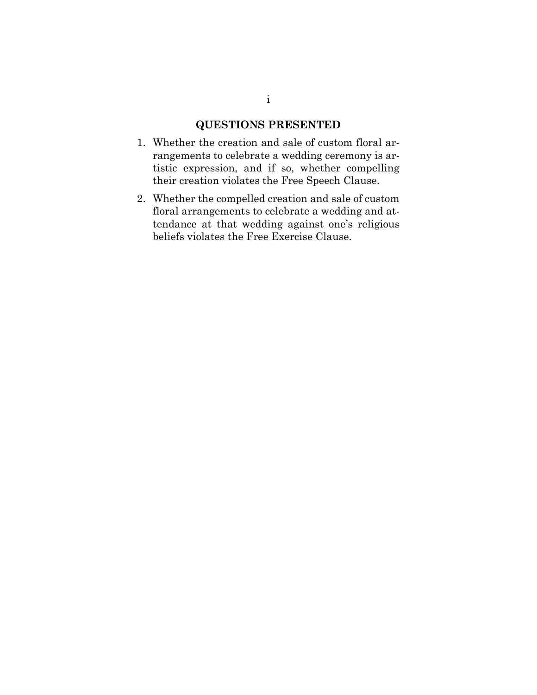### **QUESTIONS PRESENTED**

- 1. Whether the creation and sale of custom floral arrangements to celebrate a wedding ceremony is artistic expression, and if so, whether compelling their creation violates the Free Speech Clause.
- 2. Whether the compelled creation and sale of custom floral arrangements to celebrate a wedding and attendance at that wedding against one's religious beliefs violates the Free Exercise Clause.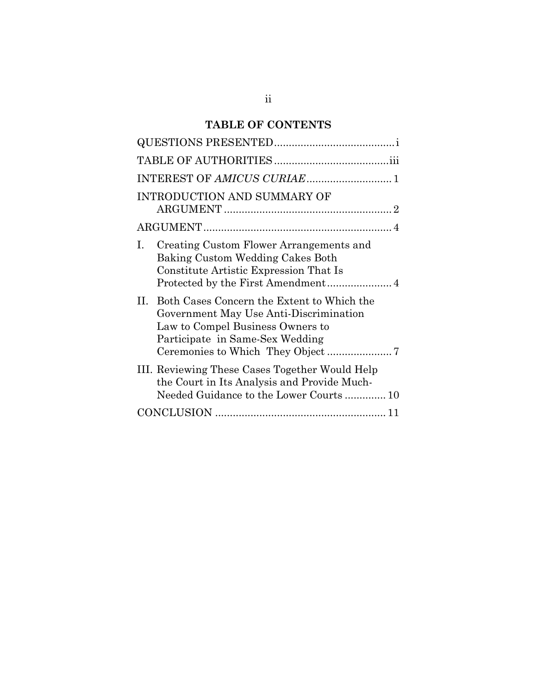## **TABLE OF CONTENTS**

| INTRODUCTION AND SUMMARY OF                                                                                                                                       |
|-------------------------------------------------------------------------------------------------------------------------------------------------------------------|
|                                                                                                                                                                   |
| Creating Custom Flower Arrangements and<br>L<br>Baking Custom Wedding Cakes Both<br>Constitute Artistic Expression That Is                                        |
| H.<br>Both Cases Concern the Extent to Which the<br>Government May Use Anti-Discrimination<br>Law to Compel Business Owners to<br>Participate in Same-Sex Wedding |
| III. Reviewing These Cases Together Would Help<br>the Court in Its Analysis and Provide Much-<br>Needed Guidance to the Lower Courts 10                           |
|                                                                                                                                                                   |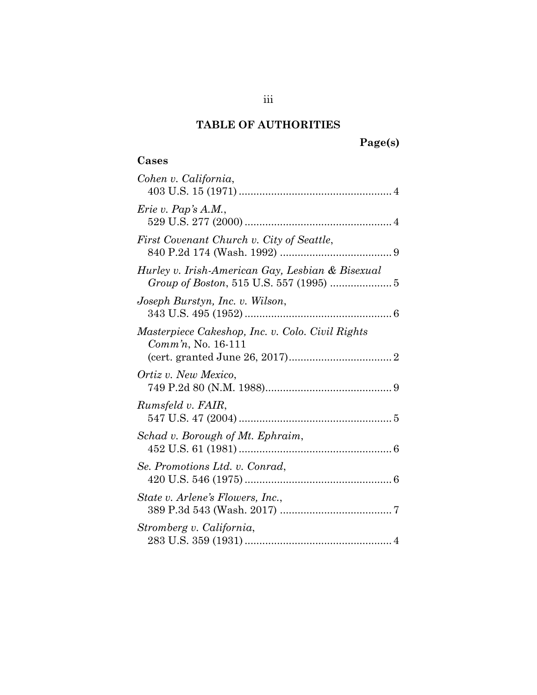## **TABLE OF AUTHORITIES**

# **Page(s)**

## **Cases**

| Cohen v. California,                                                      |  |
|---------------------------------------------------------------------------|--|
| Erie v. Pap's $A.M.$ ,                                                    |  |
| First Covenant Church v. City of Seattle,                                 |  |
| Hurley v. Irish-American Gay, Lesbian & Bisexual                          |  |
| Joseph Burstyn, Inc. v. Wilson,                                           |  |
| Masterpiece Cakeshop, Inc. v. Colo. Civil Rights<br>$Comm'n$ , No. 16-111 |  |
| Ortiz v. New Mexico,                                                      |  |
| Rumsfeld v. FAIR,                                                         |  |
| Schad v. Borough of Mt. Ephraim,                                          |  |
| Se. Promotions Ltd. v. Conrad,                                            |  |
| State v. Arlene's Flowers, Inc.,                                          |  |
| Stromberg v. California,                                                  |  |
|                                                                           |  |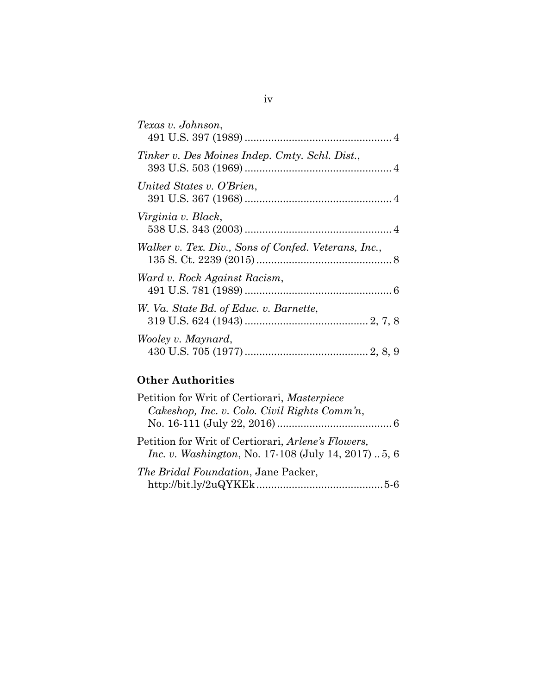| Texas v. Johnson,                                    |
|------------------------------------------------------|
| Tinker v. Des Moines Indep. Cmty. Schl. Dist.,       |
| United States v. O'Brien,                            |
| Virginia v. Black,                                   |
| Walker v. Tex. Div., Sons of Confed. Veterans, Inc., |
| Ward v. Rock Against Racism,                         |
| W. Va. State Bd. of Educ. v. Barnette,               |
| Wooley v. Maynard,                                   |

## **Other Authorities**

| Petition for Writ of Certiorari, Masterpiece                                                                      |
|-------------------------------------------------------------------------------------------------------------------|
| Cakeshop, Inc. v. Colo. Civil Rights Comm'n,                                                                      |
|                                                                                                                   |
| Petition for Writ of Certiorari, Arlene's Flowers,<br><i>Inc. v. Washington, No.</i> 17-108 (July 14, 2017)  5, 6 |
| The Bridal Foundation, Jane Packer,                                                                               |
|                                                                                                                   |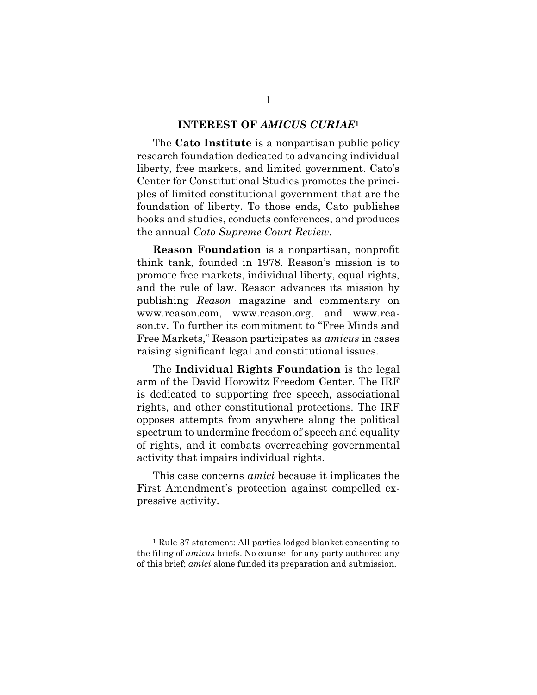#### **INTEREST OF** *AMICUS CURIAE***<sup>1</sup>**

The **Cato Institute** is a nonpartisan public policy research foundation dedicated to advancing individual liberty, free markets, and limited government. Cato's Center for Constitutional Studies promotes the principles of limited constitutional government that are the foundation of liberty. To those ends, Cato publishes books and studies, conducts conferences, and produces the annual *Cato Supreme Court Review*.

**Reason Foundation** is a nonpartisan, nonprofit think tank, founded in 1978. Reason's mission is to promote free markets, individual liberty, equal rights, and the rule of law. Reason advances its mission by publishing *Reason* magazine and commentary on www.reason.com, www.reason.org, and www.reason.tv. To further its commitment to "Free Minds and Free Markets," Reason participates as *amicus* in cases raising significant legal and constitutional issues.

The **Individual Rights Foundation** is the legal arm of the David Horowitz Freedom Center. The IRF is dedicated to supporting free speech, associational rights, and other constitutional protections. The IRF opposes attempts from anywhere along the political spectrum to undermine freedom of speech and equality of rights, and it combats overreaching governmental activity that impairs individual rights.

This case concerns *amici* because it implicates the First Amendment's protection against compelled expressive activity.

 $\overline{a}$ 

<sup>1</sup> Rule 37 statement: All parties lodged blanket consenting to the filing of *amicus* briefs. No counsel for any party authored any of this brief; *amici* alone funded its preparation and submission.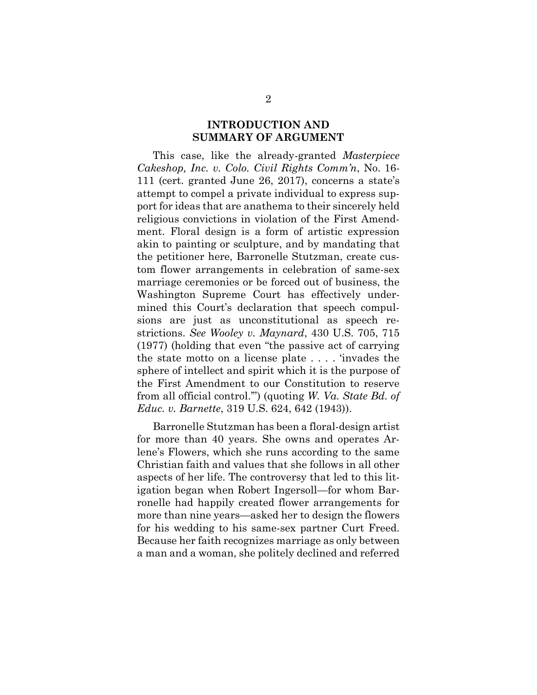### **INTRODUCTION AND SUMMARY OF ARGUMENT**

This case, like the already-granted *Masterpiece Cakeshop, Inc. v. Colo. Civil Rights Comm'n*, No. 16- 111 (cert. granted June 26, 2017), concerns a state's attempt to compel a private individual to express support for ideas that are anathema to their sincerely held religious convictions in violation of the First Amendment. Floral design is a form of artistic expression akin to painting or sculpture, and by mandating that the petitioner here, Barronelle Stutzman, create custom flower arrangements in celebration of same-sex marriage ceremonies or be forced out of business, the Washington Supreme Court has effectively undermined this Court's declaration that speech compulsions are just as unconstitutional as speech restrictions. *See Wooley v. Maynard*, 430 U.S. 705, 715 (1977) (holding that even "the passive act of carrying the state motto on a license plate . . . . 'invades the sphere of intellect and spirit which it is the purpose of the First Amendment to our Constitution to reserve from all official control.'") (quoting *W. Va. State Bd. of Educ. v. Barnette*, 319 U.S. 624, 642 (1943)).

Barronelle Stutzman has been a floral-design artist for more than 40 years. She owns and operates Arlene's Flowers, which she runs according to the same Christian faith and values that she follows in all other aspects of her life. The controversy that led to this litigation began when Robert Ingersoll—for whom Barronelle had happily created flower arrangements for more than nine years—asked her to design the flowers for his wedding to his same-sex partner Curt Freed. Because her faith recognizes marriage as only between a man and a woman, she politely declined and referred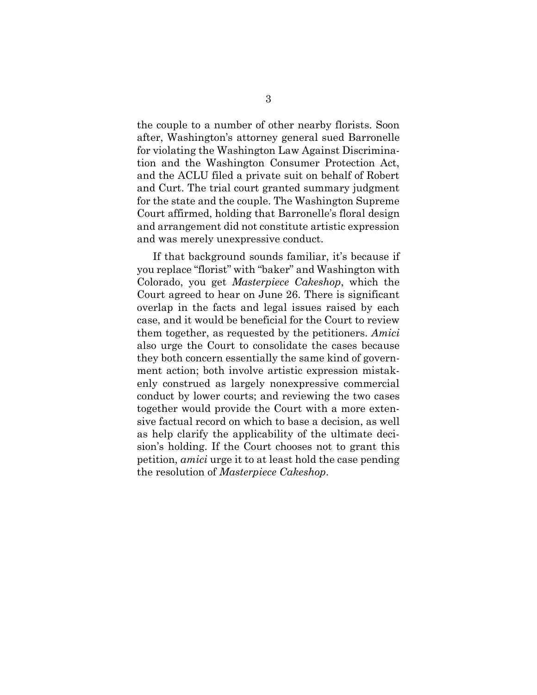the couple to a number of other nearby florists. Soon after, Washington's attorney general sued Barronelle for violating the Washington Law Against Discrimination and the Washington Consumer Protection Act, and the ACLU filed a private suit on behalf of Robert and Curt. The trial court granted summary judgment for the state and the couple. The Washington Supreme Court affirmed, holding that Barronelle's floral design and arrangement did not constitute artistic expression and was merely unexpressive conduct.

If that background sounds familiar, it's because if you replace "florist" with "baker" and Washington with Colorado, you get *Masterpiece Cakeshop*, which the Court agreed to hear on June 26. There is significant overlap in the facts and legal issues raised by each case, and it would be beneficial for the Court to review them together, as requested by the petitioners. *Amici* also urge the Court to consolidate the cases because they both concern essentially the same kind of government action; both involve artistic expression mistakenly construed as largely nonexpressive commercial conduct by lower courts; and reviewing the two cases together would provide the Court with a more extensive factual record on which to base a decision, as well as help clarify the applicability of the ultimate decision's holding. If the Court chooses not to grant this petition, *amici* urge it to at least hold the case pending the resolution of *Masterpiece Cakeshop*.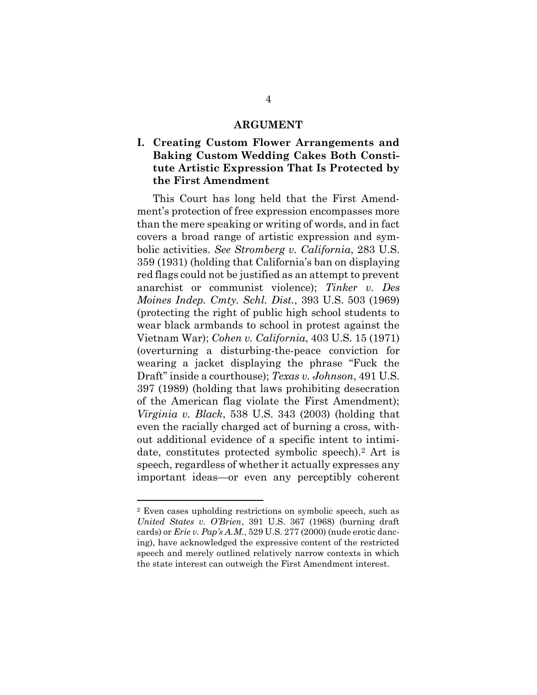#### **ARGUMENT**

### **I. Creating Custom Flower Arrangements and Baking Custom Wedding Cakes Both Constitute Artistic Expression That Is Protected by the First Amendment**

This Court has long held that the First Amendment's protection of free expression encompasses more than the mere speaking or writing of words, and in fact covers a broad range of artistic expression and symbolic activities. *See Stromberg v. California*, 283 U.S. 359 (1931) (holding that California's ban on displaying red flags could not be justified as an attempt to prevent anarchist or communist violence); *Tinker v. Des Moines Indep. Cmty. Schl. Dist.*, 393 U.S. 503 (1969) (protecting the right of public high school students to wear black armbands to school in protest against the Vietnam War); *Cohen v. California*, 403 U.S. 15 (1971) (overturning a disturbing-the-peace conviction for wearing a jacket displaying the phrase "Fuck the Draft" inside a courthouse); *Texas v. Johnson*, 491 U.S. 397 (1989) (holding that laws prohibiting desecration of the American flag violate the First Amendment); *Virginia v. Black*, 538 U.S. 343 (2003) (holding that even the racially charged act of burning a cross, without additional evidence of a specific intent to intimidate, constitutes protected symbolic speech).<sup>2</sup> Art is speech, regardless of whether it actually expresses any important ideas—or even any perceptibly coherent

 $\overline{a}$ 

<sup>2</sup> Even cases upholding restrictions on symbolic speech, such as *United States v. O'Brien*, 391 U.S. 367 (1968) (burning draft cards) or *Erie v. Pap's A.M.*, 529 U.S. 277 (2000) (nude erotic dancing), have acknowledged the expressive content of the restricted speech and merely outlined relatively narrow contexts in which the state interest can outweigh the First Amendment interest.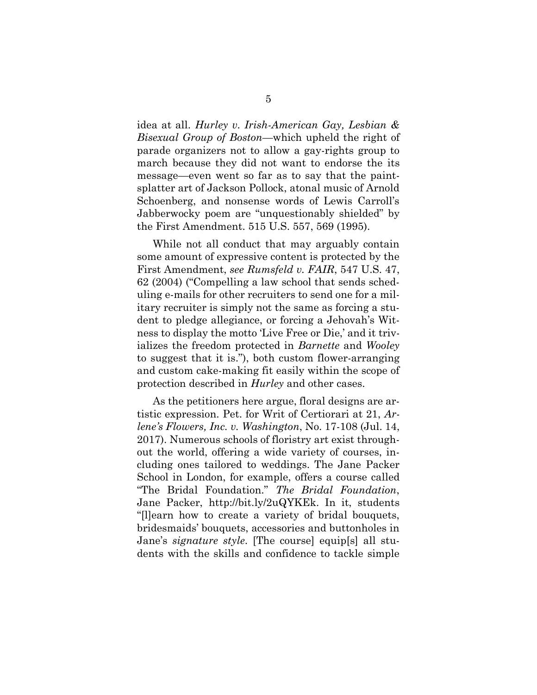idea at all. *Hurley v. Irish-American Gay, Lesbian & Bisexual Group of Boston*—which upheld the right of parade organizers not to allow a gay-rights group to march because they did not want to endorse the its message—even went so far as to say that the paintsplatter art of Jackson Pollock, atonal music of Arnold Schoenberg, and nonsense words of Lewis Carroll's Jabberwocky poem are "unquestionably shielded" by the First Amendment. 515 U.S. 557, 569 (1995).

While not all conduct that may arguably contain some amount of expressive content is protected by the First Amendment, *see Rumsfeld v. FAIR*, 547 U.S. 47, 62 (2004) ("Compelling a law school that sends scheduling e-mails for other recruiters to send one for a military recruiter is simply not the same as forcing a student to pledge allegiance, or forcing a Jehovah's Witness to display the motto 'Live Free or Die,' and it trivializes the freedom protected in *Barnette* and *Wooley*  to suggest that it is."), both custom flower-arranging and custom cake-making fit easily within the scope of protection described in *Hurley* and other cases.

As the petitioners here argue, floral designs are artistic expression. Pet. for Writ of Certiorari at 21, *Arlene's Flowers, Inc. v. Washington*, No. 17-108 (Jul. 14, 2017). Numerous schools of floristry art exist throughout the world, offering a wide variety of courses, including ones tailored to weddings. The Jane Packer School in London, for example, offers a course called "The Bridal Foundation." *The Bridal Foundation*, Jane Packer, http://bit.ly/2uQYKEk. In it, students "[l]earn how to create a variety of bridal bouquets, bridesmaids' bouquets, accessories and buttonholes in Jane's *signature style*. [The course] equip[s] all students with the skills and confidence to tackle simple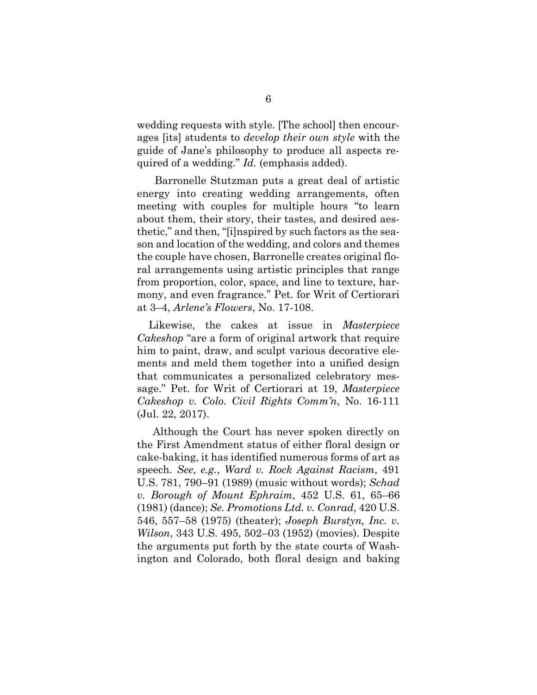wedding requests with style. [The school] then encourages [its] students to *develop their own style* with the guide of Jane's philosophy to produce all aspects required of a wedding." *Id.* (emphasis added).

 Barronelle Stutzman puts a great deal of artistic energy into creating wedding arrangements, often meeting with couples for multiple hours "to learn about them, their story, their tastes, and desired aesthetic," and then, "[i]nspired by such factors as the season and location of the wedding, and colors and themes the couple have chosen, Barronelle creates original floral arrangements using artistic principles that range from proportion, color, space, and line to texture, harmony, and even fragrance." Pet. for Writ of Certiorari at 3–4, *Arlene's Flowers*, No. 17-108.

 Likewise, the cakes at issue in *Masterpiece Cakeshop* "are a form of original artwork that require him to paint, draw, and sculpt various decorative elements and meld them together into a unified design that communicates a personalized celebratory message." Pet. for Writ of Certiorari at 19, *Masterpiece Cakeshop v. Colo. Civil Rights Comm'n*, No. 16-111 (Jul. 22, 2017).

Although the Court has never spoken directly on the First Amendment status of either floral design or cake-baking, it has identified numerous forms of art as speech. *See*, *e.g.*, *Ward v. Rock Against Racism*, 491 U.S. 781, 790–91 (1989) (music without words); *Schad v. Borough of Mount Ephraim*, 452 U.S. 61, 65–66 (1981) (dance); *Se. Promotions Ltd. v. Conrad*, 420 U.S. 546, 557–58 (1975) (theater); *Joseph Burstyn, Inc. v. Wilson*, 343 U.S. 495, 502–03 (1952) (movies). Despite the arguments put forth by the state courts of Washington and Colorado, both floral design and baking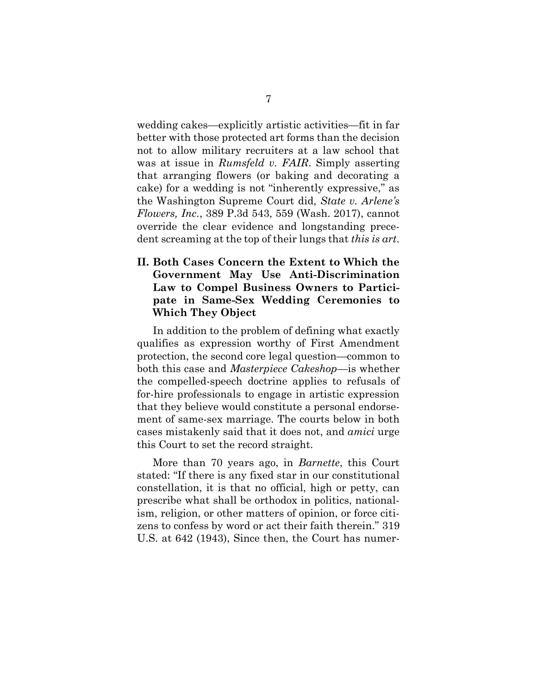wedding cakes—explicitly artistic activities—fit in far better with those protected art forms than the decision not to allow military recruiters at a law school that was at issue in *Rumsfeld v. FAIR*. Simply asserting that arranging flowers (or baking and decorating a cake) for a wedding is not "inherently expressive," as the Washington Supreme Court did, *State v. Arlene's Flowers, Inc.*, 389 P.3d 543, 559 (Wash. 2017), cannot override the clear evidence and longstanding precedent screaming at the top of their lungs that *this is art*.

### **II. Both Cases Concern the Extent to Which the Government May Use Anti-Discrimination Law to Compel Business Owners to Participate in Same-Sex Wedding Ceremonies to Which They Object**

In addition to the problem of defining what exactly qualifies as expression worthy of First Amendment protection, the second core legal question—common to both this case and *Masterpiece Cakeshop*—is whether the compelled-speech doctrine applies to refusals of for-hire professionals to engage in artistic expression that they believe would constitute a personal endorsement of same-sex marriage. The courts below in both cases mistakenly said that it does not, and *amici* urge this Court to set the record straight.

More than 70 years ago, in *Barnette*, this Court stated: "If there is any fixed star in our constitutional constellation, it is that no official, high or petty, can prescribe what shall be orthodox in politics, nationalism, religion, or other matters of opinion, or force citizens to confess by word or act their faith therein." 319 U.S. at 642 (1943), Since then, the Court has numer-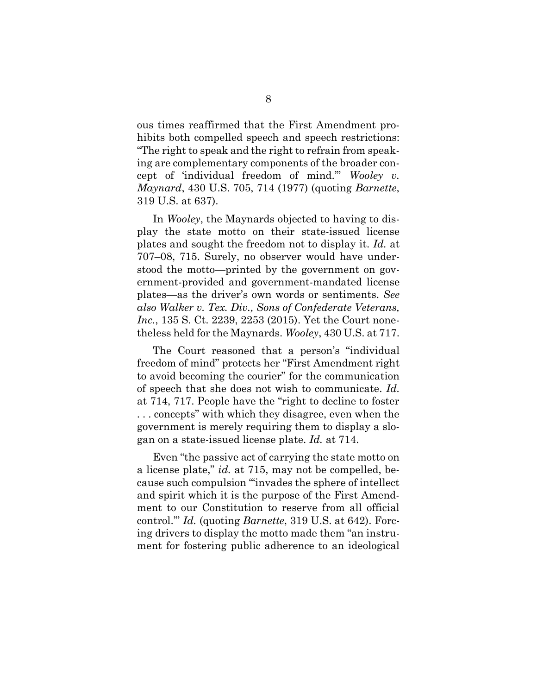ous times reaffirmed that the First Amendment prohibits both compelled speech and speech restrictions: "The right to speak and the right to refrain from speaking are complementary components of the broader concept of 'individual freedom of mind.'" *Wooley v. Maynard*, 430 U.S. 705, 714 (1977) (quoting *Barnette*, 319 U.S. at 637).

In *Wooley*, the Maynards objected to having to display the state motto on their state-issued license plates and sought the freedom not to display it. *Id.* at 707–08, 715. Surely, no observer would have understood the motto—printed by the government on government-provided and government-mandated license plates—as the driver's own words or sentiments. *See also Walker v. Tex. Div., Sons of Confederate Veterans, Inc.*, 135 S. Ct. 2239, 2253 (2015). Yet the Court nonetheless held for the Maynards. *Wooley*, 430 U.S. at 717.

The Court reasoned that a person's "individual freedom of mind" protects her "First Amendment right to avoid becoming the courier" for the communication of speech that she does not wish to communicate. *Id.* at 714, 717. People have the "right to decline to foster . . . concepts" with which they disagree, even when the government is merely requiring them to display a slogan on a state-issued license plate. *Id.* at 714.

Even "the passive act of carrying the state motto on a license plate," *id.* at 715, may not be compelled, because such compulsion "'invades the sphere of intellect and spirit which it is the purpose of the First Amendment to our Constitution to reserve from all official control.'" *Id.* (quoting *Barnette*, 319 U.S. at 642). Forcing drivers to display the motto made them "an instrument for fostering public adherence to an ideological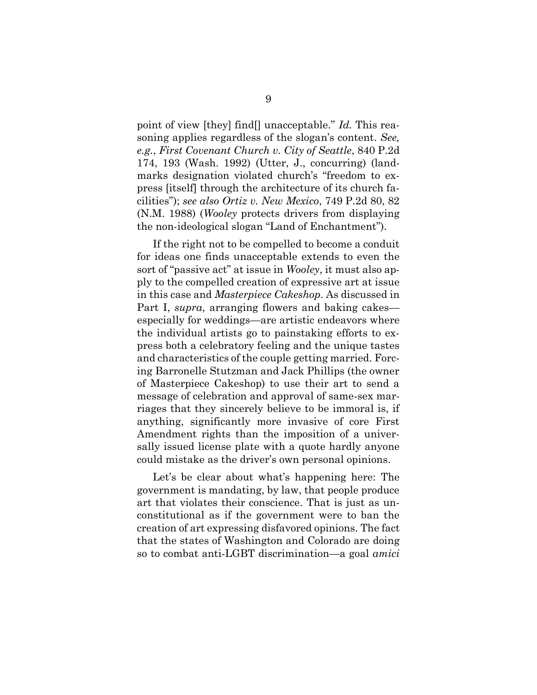point of view [they] find[] unacceptable." *Id.* This reasoning applies regardless of the slogan's content. *See, e.g.*, *First Covenant Church v. City of Seattle*, 840 P.2d 174, 193 (Wash. 1992) (Utter, J., concurring) (landmarks designation violated church's "freedom to express [itself] through the architecture of its church facilities"); *see also Ortiz v. New Mexico*, 749 P.2d 80, 82 (N.M. 1988) (*Wooley* protects drivers from displaying the non-ideological slogan "Land of Enchantment").

If the right not to be compelled to become a conduit for ideas one finds unacceptable extends to even the sort of "passive act" at issue in *Wooley*, it must also apply to the compelled creation of expressive art at issue in this case and *Masterpiece Cakeshop*. As discussed in Part I, *supra*, arranging flowers and baking cakes especially for weddings—are artistic endeavors where the individual artists go to painstaking efforts to express both a celebratory feeling and the unique tastes and characteristics of the couple getting married. Forcing Barronelle Stutzman and Jack Phillips (the owner of Masterpiece Cakeshop) to use their art to send a message of celebration and approval of same-sex marriages that they sincerely believe to be immoral is, if anything, significantly more invasive of core First Amendment rights than the imposition of a universally issued license plate with a quote hardly anyone could mistake as the driver's own personal opinions.

Let's be clear about what's happening here: The government is mandating, by law, that people produce art that violates their conscience. That is just as unconstitutional as if the government were to ban the creation of art expressing disfavored opinions. The fact that the states of Washington and Colorado are doing so to combat anti-LGBT discrimination—a goal *amici*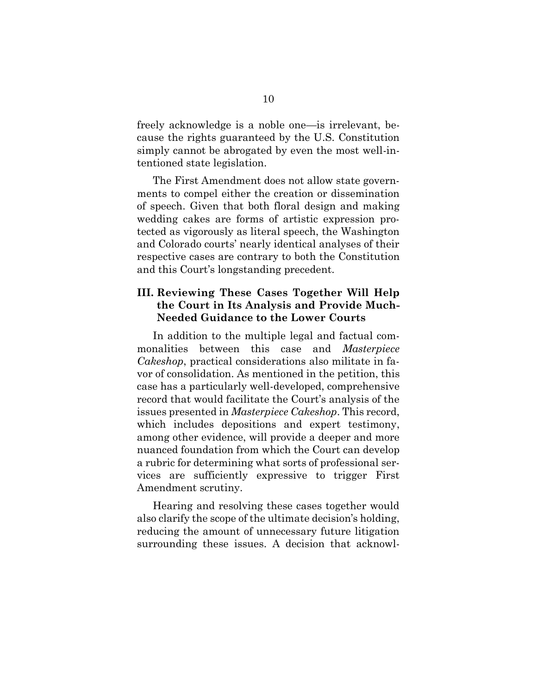freely acknowledge is a noble one—is irrelevant, because the rights guaranteed by the U.S. Constitution simply cannot be abrogated by even the most well-intentioned state legislation.

The First Amendment does not allow state governments to compel either the creation or dissemination of speech. Given that both floral design and making wedding cakes are forms of artistic expression protected as vigorously as literal speech, the Washington and Colorado courts' nearly identical analyses of their respective cases are contrary to both the Constitution and this Court's longstanding precedent.

### **III. Reviewing These Cases Together Will Help the Court in Its Analysis and Provide Much-Needed Guidance to the Lower Courts**

In addition to the multiple legal and factual commonalities between this case and *Masterpiece Cakeshop*, practical considerations also militate in favor of consolidation. As mentioned in the petition, this case has a particularly well-developed, comprehensive record that would facilitate the Court's analysis of the issues presented in *Masterpiece Cakeshop*. This record, which includes depositions and expert testimony, among other evidence, will provide a deeper and more nuanced foundation from which the Court can develop a rubric for determining what sorts of professional services are sufficiently expressive to trigger First Amendment scrutiny.

Hearing and resolving these cases together would also clarify the scope of the ultimate decision's holding, reducing the amount of unnecessary future litigation surrounding these issues. A decision that acknowl-